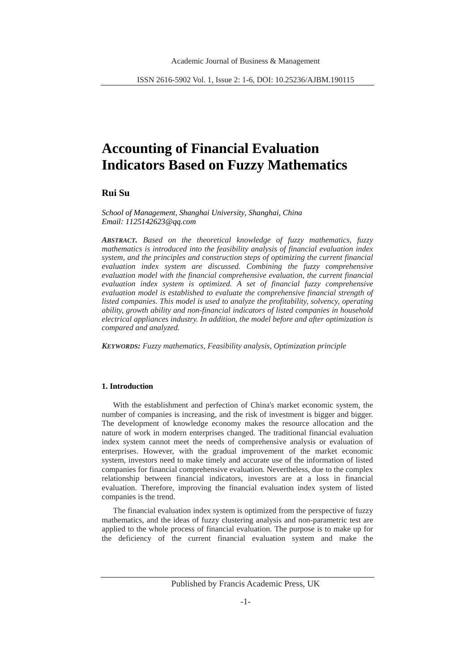# **Accounting of Financial Evaluation Indicators Based on Fuzzy Mathematics**

# **Rui Su**

*School of Management, Shanghai University, Shanghai, China Email: 1125142623@qq.com*

*ABSTRACT. Based on the theoretical knowledge of fuzzy mathematics, fuzzy mathematics is introduced into the feasibility analysis of financial evaluation index system, and the principles and construction steps of optimizing the current financial evaluation index system are discussed. Combining the fuzzy comprehensive evaluation model with the financial comprehensive evaluation, the current financial evaluation index system is optimized. A set of financial fuzzy comprehensive evaluation model is established to evaluate the comprehensive financial strength of listed companies. This model is used to analyze the profitability, solvency, operating ability, growth ability and non-financial indicators of listed companies in household electrical appliances industry. In addition, the model before and after optimization is compared and analyzed.*

*KEYWORDS: Fuzzy mathematics, Feasibility analysis, Optimization principle*

#### **1. Introduction**

With the establishment and perfection of China's market economic system, the number of companies is increasing, and the risk of investment is bigger and bigger. The development of knowledge economy makes the resource allocation and the nature of work in modern enterprises changed. The traditional financial evaluation index system cannot meet the needs of comprehensive analysis or evaluation of enterprises. However, with the gradual improvement of the market economic system, investors need to make timely and accurate use of the information of listed companies for financial comprehensive evaluation. Nevertheless, due to the complex relationship between financial indicators, investors are at a loss in financial evaluation. Therefore, improving the financial evaluation index system of listed companies is the trend.

The financial evaluation index system is optimized from the perspective of fuzzy mathematics, and the ideas of fuzzy clustering analysis and non-parametric test are applied to the whole process of financial evaluation. The purpose is to make up for the deficiency of the current financial evaluation system and make the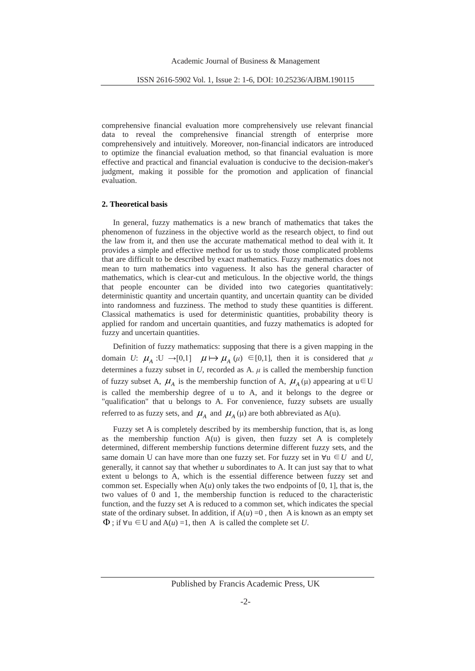comprehensive financial evaluation more comprehensively use relevant financial data to reveal the comprehensive financial strength of enterprise more comprehensively and intuitively. Moreover, non-financial indicators are introduced to optimize the financial evaluation method, so that financial evaluation is more effective and practical and financial evaluation is conducive to the decision-maker's judgment, making it possible for the promotion and application of financial evaluation.

# **2. Theoretical basis**

In general, fuzzy mathematics is a new branch of mathematics that takes the phenomenon of fuzziness in the objective world as the research object, to find out the law from it, and then use the accurate mathematical method to deal with it. It provides a simple and effective method for us to study those complicated problems that are difficult to be described by exact mathematics. Fuzzy mathematics does not mean to turn mathematics into vagueness. It also has the general character of mathematics, which is clear-cut and meticulous. In the objective world, the things that people encounter can be divided into two categories quantitatively: deterministic quantity and uncertain quantity, and uncertain quantity can be divided into randomness and fuzziness. The method to study these quantities is different. Classical mathematics is used for deterministic quantities, probability theory is applied for random and uncertain quantities, and fuzzy mathematics is adopted for fuzzy and uncertain quantities.

Definition of fuzzy mathematics: supposing that there is a given mapping in the domain *U*:  $\mu_A$  :U  $\rightarrow$  [0,1]  $\mu \mapsto \mu_A(\mu) \in [0,1]$ , then it is considered that  $\mu$ determines a fuzzy subset in  $U$ , recorded as A.  $\mu$  is called the membership function of fuzzy subset A,  $\mu_A$  is the membership function of A,  $\mu_A(\mu)$  appearing at  $u \in U$ is called the membership degree of u to A, and it belongs to the degree or "qualification" that u belongs to A. For convenience, fuzzy subsets are usually referred to as fuzzy sets, and  $\mu_A$  and  $\mu_A$  ( $\mu$ ) are both abbreviated as A(u).

Fuzzy set A is completely described by its membership function, that is, as long as the membership function  $A(u)$  is given, then fuzzy set A is completely determined, different membership functions determine different fuzzy sets, and the same domain U can have more than one fuzzy set. For fuzzy set in  $\forall u \in U$  and U, generally, it cannot say that whether *u* subordinates to A. It can just say that to what extent u belongs to A, which is the essential difference between fuzzy set and common set. Especially when  $A(u)$  only takes the two endpoints of [0, 1], that is, the two values of 0 and 1, the membership function is reduced to the characteristic function, and the fuzzy set A is reduced to a common set, which indicates the special state of the ordinary subset. In addition, if  $A(u) = 0$ , then A is known as an empty set  $\Phi$ ; if  $\forall u \in U$  and  $A(u) = 1$ , then A is called the complete set *U*.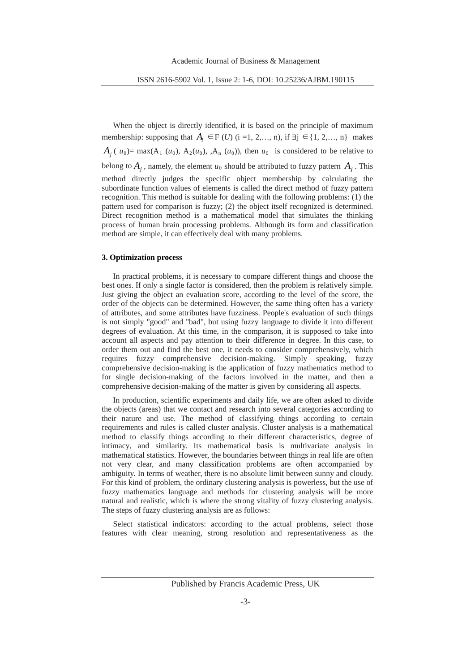When the object is directly identified, it is based on the principle of maximum membership: supposing that  $A_i \in F(U)$  (i =1, 2,..., n), if ∃j ∈{1, 2,..., n} makes  $A_i$  ( $u_0$ )= max( $A_1$  ( $u_0$ ),  $A_2(u_0)$ ,  $A_n$  ( $u_0$ )), then  $u_0$  is considered to be relative to belong to  $A_i$ , namely, the element  $u_0$  should be attributed to fuzzy pattern  $A_i$ . This method directly judges the specific object membership by calculating the subordinate function values of elements is called the direct method of fuzzy pattern recognition. This method is suitable for dealing with the following problems: (1) the pattern used for comparison is fuzzy; (2) the object itself recognized is determined. Direct recognition method is a mathematical model that simulates the thinking process of human brain processing problems. Although its form and classification method are simple, it can effectively deal with many problems.

# **3. Optimization process**

In practical problems, it is necessary to compare different things and choose the best ones. If only a single factor is considered, then the problem is relatively simple. Just giving the object an evaluation score, according to the level of the score, the order of the objects can be determined. However, the same thing often has a variety of attributes, and some attributes have fuzziness. People's evaluation of such things is not simply "good" and "bad", but using fuzzy language to divide it into different degrees of evaluation. At this time, in the comparison, it is supposed to take into account all aspects and pay attention to their difference in degree. In this case, to order them out and find the best one, it needs to consider comprehensively, which requires fuzzy comprehensive decision-making. Simply speaking, fuzzy comprehensive decision-making is the application of fuzzy mathematics method to for single decision-making of the factors involved in the matter, and then a comprehensive decision-making of the matter is given by considering all aspects.

In production, scientific experiments and daily life, we are often asked to divide the objects (areas) that we contact and research into several categories according to their nature and use. The method of classifying things according to certain requirements and rules is called cluster analysis. Cluster analysis is a mathematical method to classify things according to their different characteristics, degree of intimacy, and similarity. Its mathematical basis is multivariate analysis in mathematical statistics. However, the boundaries between things in real life are often not very clear, and many classification problems are often accompanied by ambiguity. In terms of weather, there is no absolute limit between sunny and cloudy. For this kind of problem, the ordinary clustering analysis is powerless, but the use of fuzzy mathematics language and methods for clustering analysis will be more natural and realistic, which is where the strong vitality of fuzzy clustering analysis. The steps of fuzzy clustering analysis are as follows:

Select statistical indicators: according to the actual problems, select those features with clear meaning, strong resolution and representativeness as the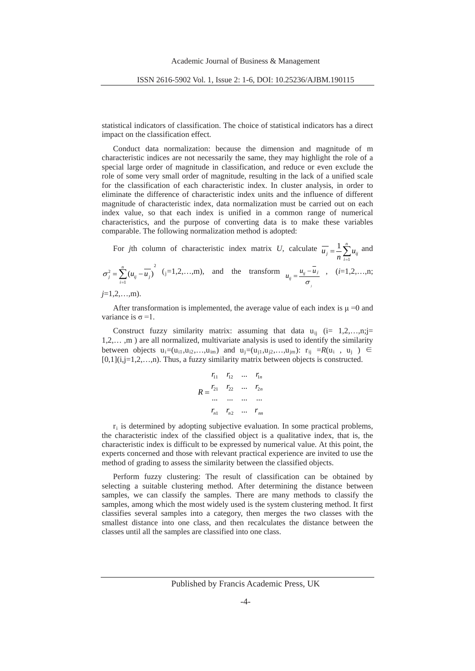statistical indicators of classification. The choice of statistical indicators has a direct impact on the classification effect.

Conduct data normalization: because the dimension and magnitude of m characteristic indices are not necessarily the same, they may highlight the role of a special large order of magnitude in classification, and reduce or even exclude the role of some very small order of magnitude, resulting in the lack of a unified scale for the classification of each characteristic index. In cluster analysis, in order to eliminate the difference of characteristic index units and the influence of different magnitude of characteristic index, data normalization must be carried out on each index value, so that each index is unified in a common range of numerical characteristics, and the purpose of converting data is to make these variables comparable. The following normalization method is adopted:

For *j*th column of characteristic index matrix *U*, calculate  $\overline{u_j} = \frac{1}{n} \sum_{i=1}^n$  $\overline{u_j} = \frac{1}{n} \sum_{i=1}^n u_{ij}$  and 2

1  $L_j^2 = \sum_{i=1}^n (u_{ij} - \overline{u_j})$  $\sigma_j^2 = \sum_{i=1}^n (u_{ij} - \overline{u_j})$  (j=1,2,…,m), and the transform  $u_{ij} = \frac{u_{ij} - u_j}{\sigma}$ , (*i*=1,2,…,n; *j*

$$
j=1,2,\ldots,m).
$$

After transformation is implemented, the average value of each index is  $\mu = 0$  and variance is  $\sigma = 1$ .

Construct fuzzy similarity matrix: assuming that data  $u_{ii}$  (i= 1,2,...,n;j= 1,2,… ,m ) are all normalized, multivariate analysis is used to identify the similarity between objects u<sub>i</sub>=(u<sub>i1</sub>,u<sub>i2</sub>,...,u<sub>im</sub>) and u<sub>j</sub>=(u<sub>i1</sub>,u<sub>i2</sub>,...,u<sub>im</sub>): r<sub>ij</sub> =*R*(u<sub>i</sub>, u<sub>j</sub>) ∈  $[0,1](i,j=1,2,...,n)$ . Thus, a fuzzy similarity matrix between objects is constructed.

$$
R = \begin{matrix} r_{11} & r_{12} & \dots & r_{1n} \\ r_{21} & r_{22} & \dots & r_{2n} \\ \dots & \dots & \dots & \dots \\ r_{n1} & r_{n2} & \dots & r_{nn} \end{matrix}
$$

 $r_i$  is determined by adopting subjective evaluation. In some practical problems, the characteristic index of the classified object is a qualitative index, that is, the characteristic index is difficult to be expressed by numerical value. At this point, the experts concerned and those with relevant practical experience are invited to use the method of grading to assess the similarity between the classified objects.

Perform fuzzy clustering: The result of classification can be obtained by selecting a suitable clustering method. After determining the distance between samples, we can classify the samples. There are many methods to classify the samples, among which the most widely used is the system clustering method. It first classifies several samples into a category, then merges the two classes with the smallest distance into one class, and then recalculates the distance between the classes until all the samples are classified into one class.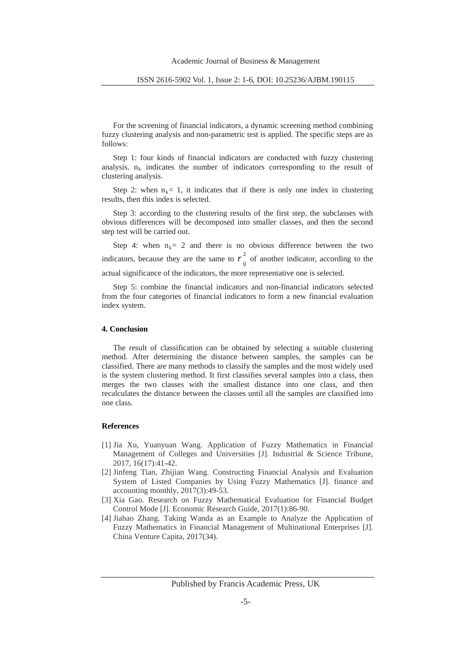For the screening of financial indicators, a dynamic screening method combining fuzzy clustering analysis and non-parametric test is applied. The specific steps are as follows:

Step 1: four kinds of financial indicators are conducted with fuzzy clustering analysis.  $n_k$  indicates the number of indicators corresponding to the result of clustering analysis.

Step 2: when  $n_k = 1$ , it indicates that if there is only one index in clustering results, then this index is selected.

Step 3: according to the clustering results of the first step, the subclasses with obvious differences will be decomposed into smaller classes, and then the second step test will be carried out.

Step 4: when  $n_k = 2$  and there is no obvious difference between the two indicators, because they are the same to  $r_{ij}^2$  of another indicator, according to the actual significance of the indicators, the more representative one is selected.

Step 5: combine the financial indicators and non-financial indicators selected from the four categories of financial indicators to form a new financial evaluation index system.

### **4. Conclusion**

The result of classification can be obtained by selecting a suitable clustering method. After determining the distance between samples, the samples can be classified. There are many methods to classify the samples and the most widely used is the system clustering method. It first classifies several samples into a class, then merges the two classes with the smallest distance into one class, and then recalculates the distance between the classes until all the samples are classified into one class.

### **References**

- [1] Jia Xu, Yuanyuan Wang. Application of Fuzzy Mathematics in Financial Management of Colleges and Universities [J]. Industrial & Science Tribune, 2017, 16(17):41-42.
- [2] Jinfeng Tian, Zhijian Wang. Constructing Financial Analysis and Evaluation System of Listed Companies by Using Fuzzy Mathematics [J]. finance and accounting monthly, 2017(3):49-53.
- [3] Xia Gao. Research on Fuzzy Mathematical Evaluation for Financial Budget Control Mode [J]. Economic Research Guide, 2017(1):86-90.
- [4] Jiahao Zhang. Taking Wanda as an Example to Analyze the Application of Fuzzy Mathematics in Financial Management of Multinational Enterprises [J]. China Venture Capita, 2017(34).